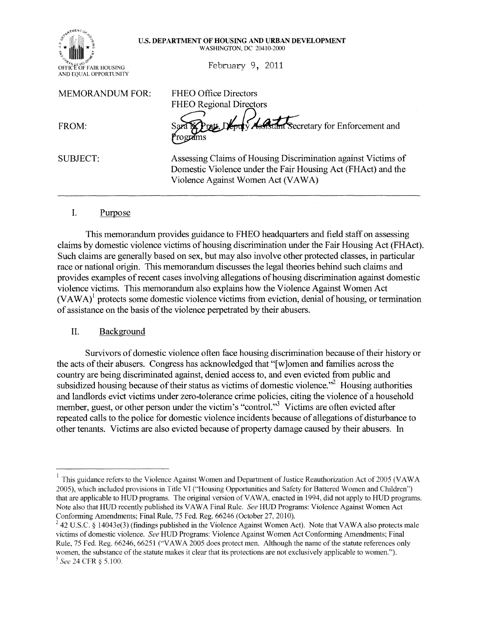| TMENT<br>SERA B<br><b>TRADE</b><br>e.e<br>Ź<br>i. |  |
|---------------------------------------------------|--|
| OR.<br>OFFICE OF FAIR HOUSING                     |  |
| AND EQUAL OPPORTUNITY                             |  |

#### U.S. DEPARTMENT OF HOUSING AND URBAN DEVELOPMENT WASHINGTON, DC 20410-2000

February 9, 2011

MEMORANDUM FOR: FHEO Office Directors

FHEO Regional Directors FROM: Sara RPratt, Northy Assistant Secretary for Enforcement and

SUBJECT: Assessing Claims of Housing Discrimination against Victims of Domestic Violence under the Fair Housing Act (FHAct) and the Violence Against Women Act (VAWA)

### I. Purpose

This memorandum provides guidance to FHEO headquarters and field staff on assessing claims by domestic violence victims ofhousing discrimination under the Fair Housing Act (FHAct). Such claims are generally based on sex, but may also involve other protected classes, in particular race or national origin. This memorandum discusses the legal theories behind such claims and provides examples of recent cases involving allegations of housing discrimination against domestic violence victims. This memorandum also explains how the Violence Against Women Act  $(VAWA)^{1}$  protects some domestic violence victims from eviction, denial of housing, or termination of assistance on the basis of the violence perpetrated by their abusers.

### II. Background

Survivors of domestic violence often face housing discrimination because of their history or the acts oftheir abusers. Congress has acknowledged that "[ w ]omen and families across the country are being discriminated against, denied access to, and even evicted from public and subsidized housing because of their status as victims of domestic violence. $n^2$  Housing authorities and landlords evict victims under zero-tolerance crime policies, citing the violence of a household member, guest, or other person under the victim's "control."<sup>3</sup> Victims are often evicted after repeated calls to the police for domestic violence incidents because of allegations of disturbance to other tenants. Victims are also evicted because of property damage caused by their abusers. In

This guidance refers to the Violence Against Women and Department of Justice Reauthorization Act of 2005 (VAWA 2005). which included provisions in Title VI ("Honsing Opportunities and Safety for Battered Women and Children") that are applicable to HUD programs. The original version ofVAWA, enacted in 1994, did not apply to HUD programs. Note also that HUD recently published its VAW A Final Rule. *See* HUD Programs: Violence Against Women Act Conforming Amendments; Final Rule, 75 Fed. Reg. 66246 (October 27,2010).

 $^{2}$  42 U.S.C. § 14043e(3) (findings published in the Violence Against Women Act). Note that VAWA also protects male victims of domestic violence. *See* HUD Programs: Violence Against Women Act Conforming Amendments; Final Rule, 75 Fed. Reg. 66246, 66251 ("VAWA 2005 does protect men. Although the name of the statute references only women, the substance of the statute makes it clear that its protections are not exclusively applicable to women.").  $^3$  See 24 CFR § 5.100.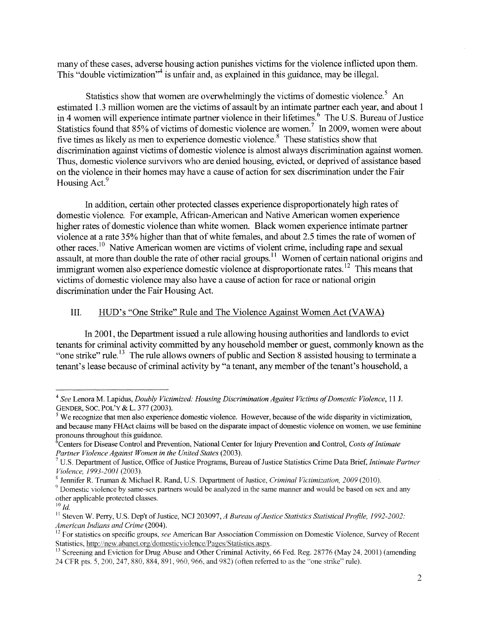many of these cases, adverse housing action punishes victims for the violence inflicted upon them. This "double victimization"<sup>4</sup> is unfair and, as explained in this guidance, may be illegal.

Statistics show that women are overwhelmingly the victims of domestic violence.<sup>5</sup> An estimated 1.3 million women are the victims of assault by an intimate partner each year, and about 1 in 4 women will experience intimate partner violence in their lifetimes.<sup>6</sup> The U.S. Bureau of Justice Statistics found that 85% of victims of domestic violence are women.<sup>7</sup> In 2009, women were about five times as likely as men to experience domestic violence.<sup>8</sup> These statistics show that discrimination against victims of domestic violence is almost always discrimination against women. Thus, domestic violence survivors who are denied housing, evicted, or deprived of assistance based on the violence in their homes may have a cause of action for sex discrimination under the Fair Housing Act.<sup>9</sup>

In addition, certain other protected classes experience disproportionately high rates of domestic violence. For example, African-American and Native American women experience higher rates of domestic violence than white women. Black women experience intimate partner violence at a rate 35% higher than that of white females, and about 2.5 times the rate of women of other races.<sup>10</sup> Native American women are victims of violent crime, including rape and sexual assault, at more than double the rate of other racial groups.<sup>11</sup> Women of certain national origins and immigrant women also experience domestic violence at disproportionate rates.<sup>12</sup> This means that victims of domestic violence may also have a cause of action for race or national origin discrimination under the Fair Housing Act.

## **III.** HUD's "One Strike" Rule and The Violence Against Women Act (VAWA)

In 2001, the Department issued a rule allowing housing authorities and landlords to evict tenants for criminal activity committed by any household member or guest, commonly known as the "one strike" rule.<sup>13</sup> The rule allows owners of public and Section 8 assisted housing to terminate a tenant's lease because of criminal activity by "a tenant, any member of the tenant's household, a

*<sup>4</sup> See* Lenora M. Lapidus, *Doubly Victimized: Housing Discrimination Against Victims ofDomestic Violence,* 11 J. GENDER, SOC. POL'y & L. 377 (2003).

 $<sup>5</sup>$  We recognize that men also experience domestic violence. However, because of the wide disparity in victimization,</sup> and because many FHAct claims will be based on the disparate impact of domestic violence on women, we use feminine pronouns throughout this guidance.

<sup>&</sup>lt;sup>6</sup> Centers for Disease Control and Prevention, National Center for Injury Prevention and Control, *Costs of Intimate* Partner Violence Against Women in the United States (2003).

<sup>&</sup>lt;sup>7</sup> U.S. Department of Justice, Office of Justice Programs, Bureau of Justice Statistics Crime Data Brief, *Intimate Partner Violence. 1993-2001* (2003).

<sup>&</sup>lt;sup>8</sup> Jennifer R. Truman & Michael R. Rand, U.S. Department of Justice, *Criminal Victimization, 2009* (2010).

<sup>&</sup>lt;sup>9</sup> Domestic violence by same-sex partners would be analyzed in the same manner and would be based on sex and any other applicable protected classes.

 $^{10}$   $\emph{Id.}$ 

<sup>&</sup>lt;sup>11</sup> Steven W. Perry, U.S. Dep't of Justice, NCJ 203097, *A Bureau of Justice Statistics Statistical Profile, 1992-2002: American Indians and Crime* (2004).

<sup>12</sup> For statistics on specific groups, *see* American Bar Association Commission on Domestic Violence, Survey ofRecent Statistics, http://new.abanet.org/domesticviolence/Pages/Statistics.aspx.

<sup>&</sup>lt;sup>13</sup> Screening and Eviction for Drug Abuse and Other Criminal Activity, 66 Fed. Reg. 28776 (May 24, 2001) (amending 24 CFR pts. 5, 200, 247, 880, 884, 891, 960, 966, and 982) (often referred to as the "one strike" i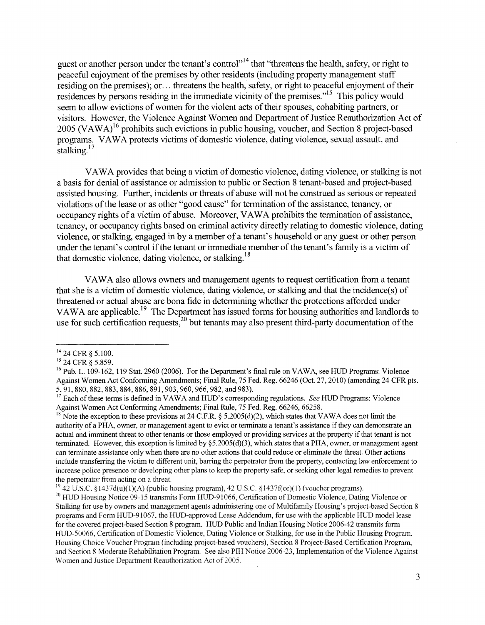guest or another person under the tenant's control<sup>1,14</sup> that "threatens the health, safety, or right to peaceful enjoyment of the premises by other residents (including property management staff residing on the premises); or... threatens the health, safety, or right to peaceful enjoyment of their residences by persons residing in the immediate vicinity of the premises."<sup>15</sup> This policy would seem to allow evictions of women for the violent acts of their spouses, cohabiting partners, or visitors. However, the Violence Against Women and Department of Justice Reauthorization Act of  $2005$  (VAWA)<sup>16</sup> prohibits such evictions in public housing, voucher, and Section 8 project-based programs. VAWA protects victims of domestic violence, dating violence, sexual assault, and stalking.<sup>17</sup>

VAWA provides that being a victim of domestic violence, dating violence, or stalking is not a basis for denial of assistance or admission to public or Section 8 tenant-based and project-based assisted housing. Further, incidents or threats of abuse will not be construed as serious or repeated violations of the lease or as other "good cause" for termination of the assistance, tenancy, or occupancy rights of a victim of abuse. Moreover, VAW A prohibits the termination of assistance, tenancy, or occupancy rights based on criminal activity directly relating to domestic violence, dating violence, or stalking, engaged in by a member of a tenant's household or any guest or other person under the tenant's control if the tenant or immediate member of the tenant's family is a victim of that domestic violence, dating violence, or stalking.  $18$ 

VAW A also allows owners and management agents to request certification from a tenant that she is a victim of domestic violence, dating violence, or stalking and that the incidence(s) of threatened or actual abuse are bona fide in determining whether the protections afforded under VAWA are applicable.<sup>19</sup> The Department has issued forms for housing authorities and landlords to use for such certification requests, $20$  but tenants may also present third-party documentation of the

<sup>&</sup>lt;sup>14</sup> 24 CFR § 5.100.

<sup>15 24</sup> CFR § 5.859.

<sup>&</sup>lt;sup>16</sup> Pub. L. 109-162, 119 Stat. 2960 (2006). For the Department's final rule on VAWA, see HUD Programs: Violence Against Women Act Conforming Amendments; Final Rule, 75 Fed. Reg. 66246 (Oct. 27, 2010) (amending 24 CFR pts. 5,91,880,882,883,884,886,891,903,960,966,982, and 983).

<sup>17</sup> Each of these terms is defmed in VAW A and HUD's corresponding regulations. *See* HUD Programs: Violence Against Women Act Conforming Amendments; Final Rule, 75 Fed. Reg. 66246, 66258.

<sup>&</sup>lt;sup>18</sup> Note the exception to these provisions at 24 C.F.R. § 5.2005(d)(2), which states that VAWA does not limit the authority of a PHA, owner, or management agent to evict or terminate a tenant's assistance if they can demonstrate an actual and imminent threat to other tenants or those employed or providing services at the property if that tenant is not terminated. However, this exception is limited by  $\S5.2005(d)(3)$ , which states that a PHA, owner, or management agent can terminate assistance only when there are no other actions that could reduce or eliminate the threat. Other actions include transferring the victim to different unit, barring the perpetrator from the property, contacting law enforcement to increase police presence or developing other plans to keep the property safe, or seeking other legal remedies to prevent the perpetrator from acting on a threat.

 $^{19}$  42 U.S.C. §1437d(u)(1)(A) (public housing program), 42 U.S.C. §1437f(ee)(1) (voucher programs).

<sup>&</sup>lt;sup>20</sup> HUD Housing Notice 09-15 transmits Form HUD-91066, Certification of Domestic Violence, Dating Violence or Stalking for use by owners and management agents administering one of Multifamily Housing's project-based Section 8 programs and Form HUD-91 067, the HUD-approved Lease Addendum, for use with the applicable HUD model lease for the covered project-based Section 8 program. HUD Public and Indian Housing Notice 2006-42 transmits form HUD-50066, Certification of Domestic Violence, Dating Violence or Stalking, for use in the Public Housing Program, Housing Choice Voucher Program (including project-based vouchers), Section 8 Project-Based Certification Program, and Section 8 Moderate Rehabilitation Program. See also PIH Notice 2006-23, Implementation of the Violence Against Women and Justice Department Reauthorization Act of 2005.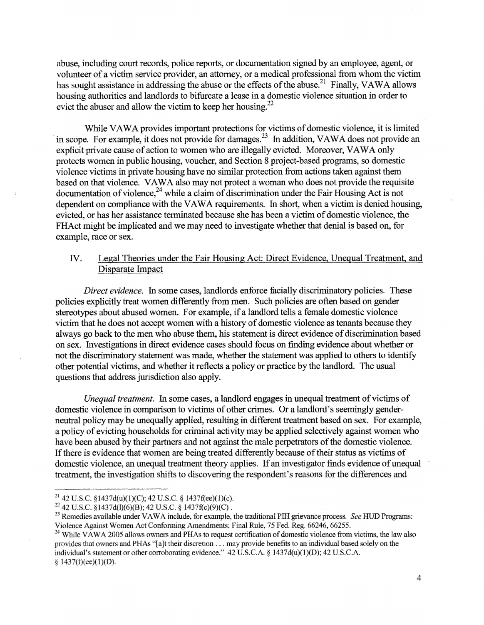abuse, including court records, police reports, or documentation signed by an employee, agent, or volunteer ofa victim service provider, an attomey, or a medical professional from whom the victim has sought assistance in addressing the abuse or the effects of the abuse.<sup>21</sup> Finally, VAWA allows housing authorities and landlords to bifurcate a lease in a domestic violence situation in order to evict the abuser and allow the victim to keep her housing.<sup>22</sup>

While VAWA provides important protections for victims of domestic violence, it is limited in scope. For example, it does not provide for damages.<sup>23</sup> In addition, VAWA does not provide an explicit private cause of action to women who are illegally evicted. Moreover, VAWA only protects women in public housing, voucher, and Section 8 project-based programs, so domestic violence victims in private housing have no similar protection from actions taken against them based on that violence. VAWA also may not protect a woman who does not provide the requisite documentation of violence,<sup>24</sup> while a claim of discrimination under the Fair Housing Act is not dependent on compliance with the VAWA requirements. In short, when a victim is denied housing, evicted, or has her assistance terminated because she has been a victim of domestic violence, the FHAct might be implicated and we may need to investigate whether that denial is based on, for example, race or sex.

## IV. Legal Theories under the Fair Housing Act: Direct Evidence, Unequal Treatment, and Disparate Impact

*Direct evidence.* In some cases, landlords enforce facially discriminatory policies. These policies explicitly treat women differently from men. Such policies are often based on gender stereotypes about abused women. For example, ifa landlord tells a female domestic violence victim that he does not accept women with a history of domestic violence as tenants because they always go back to the men who abuse them, his statement is direct evidence of discrimination based on sex. Investigations in direct evidence cases should focus on finding evidence about whether or not the discriminatory statement was made, whether the statement was applied to others to identify other potential victims, and whether it reflects a policy or practice by the landlord. The usual questions that address jurisdiction also apply.

*Unequal treatment.* In some cases, a landlord engages in unequal treatment of victims of domestic violence in comparison to victims of other crimes. Or a landlord's seemingly genderneutral policy may be unequally applied, resulting in different treatment based on sex. For example, a policy of evicting households for criminal activity may be applied selectively against women who have been abused by their partners and not against the male perpetrators of the domestic violence. If there is evidence that women are being treated differently because of their status as victims of domestic violence, an unequal treatment theory applies. If an investigator finds evidence of unequal treatment, the investigation shifts to discovering the respondent's reasons for the differences and

4

<sup>&</sup>lt;sup>21</sup> 42 U.S.C. §1437d(u)(1)(C); 42 U.S.C. § 1437f(ee)(1)(c).

<sup>&</sup>lt;sup>22</sup> 42 U.S.C. §1437d(I)(6)(B): 42 U.S.C. § 1437f(c)(9)(C).

<sup>&</sup>lt;sup>23</sup> Remedies available under VAWA include, for example, the traditional PIH grievance process. See HUD Programs: Violence Against Women Act Conforming Amendments; Final Rule, 75 Fed. Reg. 66246, 66255.

<sup>&</sup>lt;sup>24</sup> While VAWA 2005 allows owners and PHAs to request certification of domestic violence from victims, the law also provides that owners and PHAs "[a]t their discretion . . . may provide benefits to an individual based solely on the individual's statement or other corroborating evidence." 42 U.S.C.A.  $\S$  1437d(u)(1)(D); 42 U.S.C.A.  $$1437(f)(ee)(1)(D).$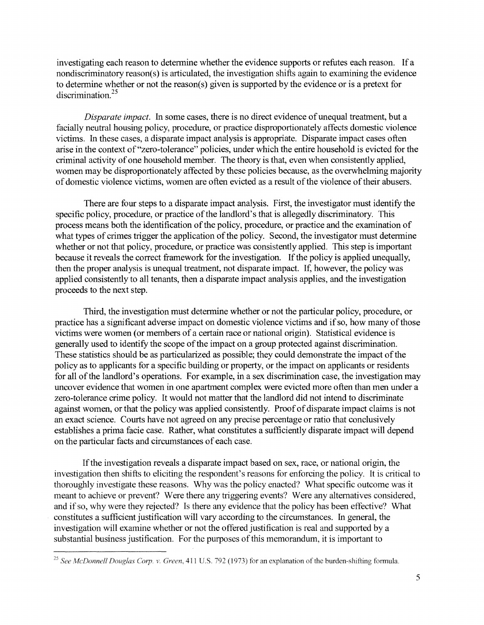investigating each reason to determine whether the evidence supports or refutes each reason. If a nondiscriminatory reason(s) is articulated, the investigation shifts again to examining the evidence to determine whether or not the reason(s) given is supported by the evidence or is a pretext for discrimination.<sup>25</sup>

*Disparate impact.* In some cases, there is no direct evidence of unequal treatment, but a facially neutral housing policy, procedure, or practice disproportionately affects domestic violence victims. In these cases, a disparate impact analysis is appropriate. Disparate impact cases often arise in the context of"zero-tolerance" policies, under which the entire household is evicted for the criminal activity of one household member. The theory is that, even when consistently applied, women may be disproportionately affected by these policies because, as the overwhelming majority of domestic violence victims, women are often evicted as a result of the violence of their abusers.

There are four steps to a disparate impact analysis. First, the investigator must identify the specific policy, procedure, or practice of the landlord's that is allegedly discriminatory. This process means both the identification of the policy, procedure, or practice and the examination of what types of crimes trigger the application of the policy. Second, the investigator must determine whether or not that policy, procedure, or practice was consistently applied. This step is important because it reveals the correct framework for the investigation. If the policy is applied unequally, then the proper analysis is unequal treatment, not disparate impact. If, however, the policy was applied consistently to all tenants, then a disparate impact analysis applies, and the investigation proceeds to the next step.

Third, the investigation must determine whether or not the particular policy, procedure, or practice has a significant adverse impact on domestic violence victims and if so, how many of those victims were women (or members of a certain race or national origin). Statistical evidence is generally used to identify the scope of the impact on a group protected against discrimination. These statistics should be as particularized as possible; they could demonstrate the impact of the policy as to applicants for a specific building or property, or the impact on applicants or residents for all of the landlord's operations. For example, in a sex discrimination case, the investigation may uncover evidence that women in one apartment complex were evicted more often than men under a zero-tolerance crime policy. It would not matter that the landlord did not intend to discriminate against women, or that the policy was applied consistently. Proof of disparate impact claims is not an exact science. Courts have not agreed on any precise percentage or ratio that conclusively establishes a prima facie case. Rather, what constitutes a sufficiently disparate impact will depend on the particular facts and circumstances of each case.

If the investigation reveals a disparate impact based on sex, race, or national origin, the investigation then shifts to eliciting the respondent's reasons for enforcing the policy. It is critical to thoroughly investigate these reasons. Why was the policy enacted? What specific outcome was it meant to achieve or prevent? Were there any triggering events? Were any alternatives considered, and if so, why were they rejected? Is there any evidence that the policy has been effective? What constitutes a sufficient justification will vary according to the circumstances. In general, the investigation will examine whether or not the offered justification is real and supported by a substantial business justification. For the purposes of this memorandum, it is important to

<sup>&</sup>lt;sup>25</sup> See McDonnell Douglas Corp. v. Green, 411 U.S. 792 (1973) for an explanation of the burden-shifting formula.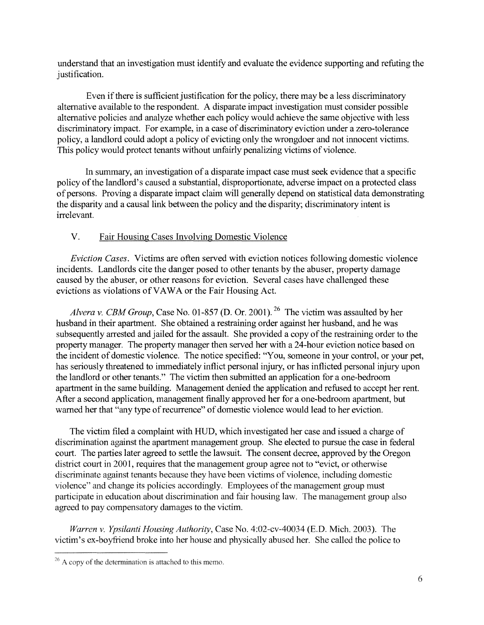understand that an investigation must identify and evaluate the evidence supporting and refuting the justification.

Even if there is sufficient justification for the policy, there may be a less discriminatory alternative available to the respondent. A disparate impact investigation must consider possible alternative policies and analyze whether each policy would achieve the same objective with less discriminatory impact. For example, in a case of discriminatory eviction under a zero-tolerance policy, a landlord could adopt a policy of evicting only the wrongdoer and not innocent victims. This policy would protect tenants without unfairly penalizing victims of violence.

In summary, an investigation of a disparate impact case must seek evidence that a specific policy of the landlord's caused a substantial, disproportionate, adverse impact on a protected class of persons. Proving a disparate impact claim will generally depend on statistical data demonstrating the disparity and a causal link between the policy and the disparity; discriminatory intent is irrelevant.

# V. Fair Housing Cases Involving Domestic Violence

*Eviction Cases.* Victims are often served with eviction notices following domestic violence incidents. Landlords cite the danger posed to other tenants by the abuser, property damage caused by the abuser, or other reasons for eviction. Several cases have challenged these evictions as violations of VAWA or the Fair Housing Act.

Alvera v. *CBM Group*, Case No. 01-857 (D. Or. 2001).<sup>26</sup> The victim was assaulted by her husband in their apartment. She obtained a restraining order against her husband, and he was subsequently arrested and jailed for the assault. She provided a copy of the restraining order to the property manager. The property manager then served her with a 24-hour eviction notice based on the incident of domestic violence. The notice specified: "You, someone in your control, or your pet, has seriously threatened to immediately inflict personal injury, or has inflicted personal injury upon the landlord or other tenants." The victim then submitted an application for a one-bedroom apartment in the same building. Management denied the application and refused to accept her rent. After a second application, management finally approved her for a one-bedroom apartment, but warned her that "any type of recurrence" of domestic violence would lead to her eviction.

The victim filed a complaint with HUD, which investigated her case and issued a charge of discrimination against the apartment management group. She elected to pursue the case in federal court. The parties later agreed to settle the lawsuit. The consent decree, approved by the Oregon district court in 2001, requires that the management group agree not to "evict, or otherwise discriminate against tenants because they have been victims of violence, including domestic violence" and change its policies accordingly. Employees of the management group must participate in education about discrimination and fair housing law. The management group also agreed to pay compensatory damages to the victim.

*Warren* v. *Ypsilanti Housing Authority,* Case No. 4:02-cv-40034 (E.D. Mich. 2003). The victim's ex-boyfriend broke into her house and physically abused her. She called the police to

 $26$  A copy of the determination is attached to this memo.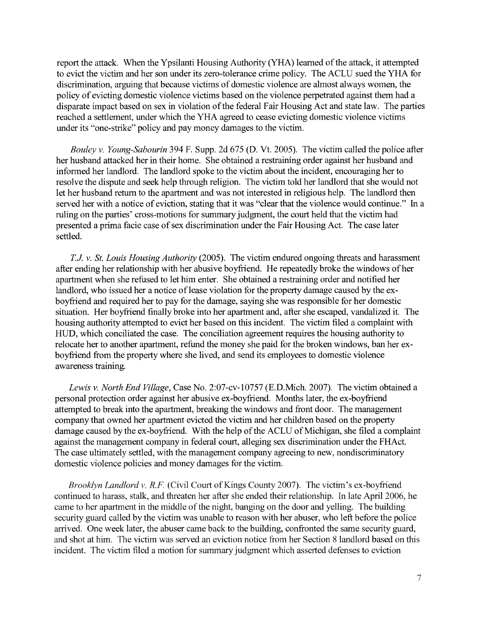report the attack. When the Ypsilanti Housing Authority (YHA) learned ofthe attack, it attempted to evict the victim and her son under its zero-tolerance crime policy. The ACLU sued the YHA for discrimination, arguing that because victims of domestic violence are almost always women, the policy of evicting domestic violence victims based on the violence perpetrated against them had a disparate impact based on sex in violation of the federal Fair Housing Act and state law. The parties reached a settlement, under which the YHA agreed to cease evicting domestic violence victims under its "one-strike" policy and pay money damages to the victim.

*Bouley v. Young-Sabourin* 394 F. Supp. 2d 675 (D. Vt. 2005). The victim called the police after her husband attacked her in their home. She obtained a restraining order against her husband and informed her landlord. The landlord spoke to the victim about the incident, encouraging her to resolve the dispute and seek help through religion. The victim told her landlord that she would not let her husband retum to the apartment and was not interested in religious help. The landlord then served her with a notice of eviction, stating that it was "clear that the violence would continue." In a ruling on the parties' cross-motions for summary judgment, the court held that the victim had presented a prima facie case of sex discrimination under the Fair Housing Act. The case later settled.

*TJ v. St. Louis Housing Authority* (2005). The victim endured ongoing threats and harassment after ending her relationship with her abusive boyfriend. He repeatedly broke the windows of her apartment when she refused to let him enter. She obtained a restraining order and notified her landlord, who issued her a notice of lease violation for the property damage caused by the exboyfriend and required her to pay for the damage, saying she was responsible for her domestic situation. Her boyfriend finally broke into her apartment and, after she escaped, vandalized it. The housing authority attempted to evict her based on this incident. The victim filed a complaint with HUD, which conciliated the case. The conciliation agreement requires the housing authority to relocate her to another apartment, refund the money she paid for the broken windows, ban her exboyfriend from the property where she lived, and send its employees to domestic violence awareness training.

*Lewis v. North End Village,* Case No. 2:07-cv-10757 (E.D.Mich. 2007). The victim obtained a personal protection order against her abusive ex-boyfriend. Months later, the ex-boyfriend attempted to break into the apartment, breaking the windows and front door. The management company that owned her apartment evicted the victim and her children based on the property damage caused by the ex-boyfriend. With the help of the ACLU of Michigan, she filed a complaint against the management company in federal court, alleging sex discrimination under the FHAct. The case ultimately settled, with the management company agreeing to new, nondiscriminatory domestic violence policies and money damages for the victim.

*Brooklyn Landlord v. R.F.* (Civil Court of Kings County 2007). The victim's ex-boyfriend continued to harass, stalk, and threaten her after she ended their relationship. In late April 2006, he came to her apartment in the middle of the night, banging on the door and yelling. The building security guard called by the victim was unable to reason with her abuser, who left before the police arrived. One week later, the abuser came back to the building, confronted the same security guard, and shot at him. The victim was served an eviction notice from her Section 8 landlord based on this incident. The victim filed a motion for summary judgment which asserted defenses to eviction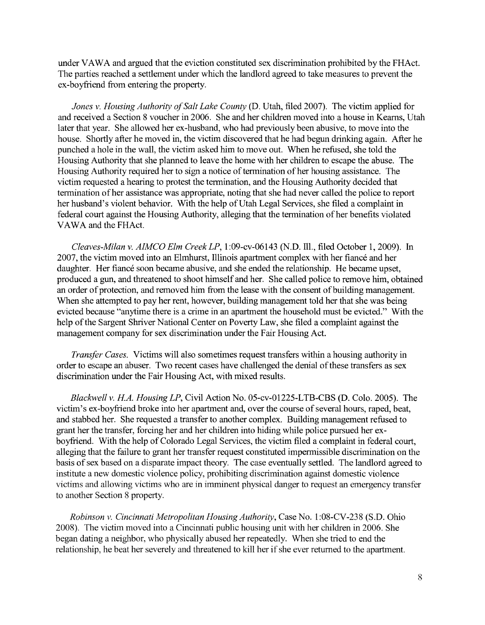under VAWA and argued that the eviction constituted sex discrimination prohibited by the FHAct. The parties reached a settlement under which the landlord agreed to take measures to prevent the ex-boyfriend from entering the property.

*Jones v. Housing Authority of Salt Lake County (D. Utah, filed 2007). The victim applied for* and received a Section 8 voucher in 2006. She and her children moved into a house in Keams, Utah later that year. She allowed her ex-husband, who had previously been abusive, to move into the house. Shortly after he moved in, the victim discovered that he had begun drinking again. After he punched a hole in the wall, the victim asked him to move out. When he refused, she told the Housing Authority that she planned to leave the home with her children to escape the abuse. The Housing Authority required her to sign a notice of termination of her housing assistance. The victim requested a hearing to protest the termination, and the Housing Authority decided that termination ofher assistance was appropriate, noting that she had never called the police to report her husband's violent behavior. With the help of Utah Legal Services, she filed a complaint in federal court against the Housing Authority, alleging that the termination of her benefits violated VAWA and the FHAct.

*Cleaves-Milan* v. *AIMCO Elm CreekLP,* 1:09-cv-06143 (N.D. Ill., filed October 1, 2009). In 2007, the victim moved into an Elmhurst, Illinois apartment complex with her fiance and her daughter. Her fiancé soon became abusive, and she ended the relationship. He became upset, produced a gun, and threatened to shoot himself and her. She called police to remove him, obtained an order of protection, and removed him from the lease with the consent of building management. When she attempted to pay her rent, however, building management told her that she was being evicted because "anytime there is a crime in an apartment the household must be evicted." With the help of the Sargent Shriver National Center on Poverty Law, she filed a complaint against the management company for sex discrimination under the Fair Housing Act.

*Transfer Cases.* Victims will also sometimes request transfers within a housing authority in order to escape an abuser. Two recent cases have challenged the denial of these transfers as sex discrimination under the Fair Housing Act, with mixed results.

*Blackwell* v. *HA. Housing LP,* Civil Action No. 05-cv-01225-LTB-CBS (D. Colo. 2005). The victim's ex-boyfriend broke into her apartment and, over the course of several hours, raped, beat, and stabbed her. She requested a transfer to another complex. Building management refused to grant her the transfer, forcing her and her children into hiding while police pursued her exboyfriend. With the help of Colorado Legal Services, the victim filed a complaint in federal court, alleging that the failure to grant her transfer request constituted impermissible discrimination on the basis of sex based on a disparate impact theory. The case eventually settled. The landlord agreed to institute a new domestic violence policy, prohibiting discrimination against domestic violence victims and allowing victims who are in imminent physical danger to request an emergency transfer to another Section 8 property.

*Robinson* v. *Cincinnati Metropolitan Housing Authority,* Case No.1 :08-CV-238 (S.D. Ohio 2008). The victim moved into a Cincinnati public housing unit with her children in 2006. She began dating a neighbor, who physically abused her repeatedly. When she tried to end the relationship, he beat her severely and threatened to kill her if she ever returned to the apartment.